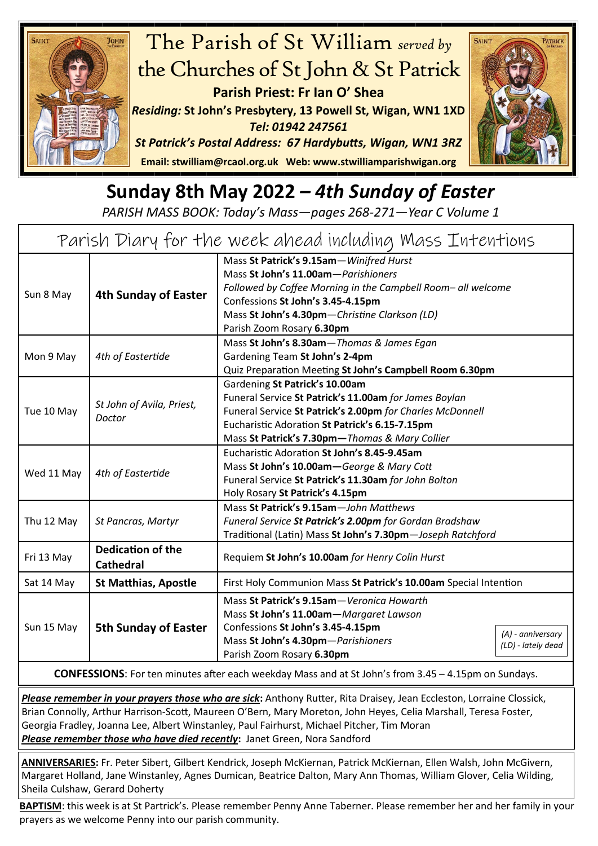



## **Sunday 8th May 2022** *– 4th Sunday of Easter*

*PARISH MASS BOOK: Today's Mass—pages 268-271—Year C Volume 1*

| Parish Diary for the week ahead including Mass Intentions |                                              |                                                                                                                                                                                                                                                                   |  |
|-----------------------------------------------------------|----------------------------------------------|-------------------------------------------------------------------------------------------------------------------------------------------------------------------------------------------------------------------------------------------------------------------|--|
| Sun 8 May                                                 | <b>4th Sunday of Easter</b>                  | Mass St Patrick's 9.15am-Winifred Hurst<br>Mass St John's 11.00am-Parishioners<br>Followed by Coffee Morning in the Campbell Room- all welcome<br>Confessions St John's 3.45-4.15pm<br>Mass St John's 4.30pm-Christine Clarkson (LD)<br>Parish Zoom Rosary 6.30pm |  |
| Mon 9 May                                                 | 4th of Eastertide                            | Mass St John's 8.30am-Thomas & James Egan<br>Gardening Team St John's 2-4pm<br>Quiz Preparation Meeting St John's Campbell Room 6.30pm                                                                                                                            |  |
| Tue 10 May                                                | St John of Avila, Priest,<br>Doctor          | Gardening St Patrick's 10.00am<br>Funeral Service St Patrick's 11.00am for James Boylan<br>Funeral Service St Patrick's 2.00pm for Charles McDonnell<br>Eucharistic Adoration St Patrick's 6.15-7.15pm<br>Mass St Patrick's 7.30pm-Thomas & Mary Collier          |  |
| Wed 11 May                                                | 4th of Eastertide                            | Eucharistic Adoration St John's 8.45-9.45am<br>Mass St John's 10.00am-George & Mary Cott<br>Funeral Service St Patrick's 11.30am for John Bolton<br>Holy Rosary St Patrick's 4.15pm                                                                               |  |
| Thu 12 May                                                | St Pancras, Martyr                           | Mass St Patrick's 9.15am-John Matthews<br>Funeral Service St Patrick's 2.00pm for Gordan Bradshaw<br>Traditional (Latin) Mass St John's 7.30pm-Joseph Ratchford                                                                                                   |  |
| Fri 13 May                                                | <b>Dedication of the</b><br><b>Cathedral</b> | Requiem St John's 10.00am for Henry Colin Hurst                                                                                                                                                                                                                   |  |
| Sat 14 May                                                | <b>St Matthias, Apostle</b>                  | First Holy Communion Mass St Patrick's 10.00am Special Intention                                                                                                                                                                                                  |  |
| Sun 15 May                                                | <b>5th Sunday of Easter</b>                  | Mass St Patrick's 9.15am - Veronica Howarth<br>Mass St John's 11.00am-Margaret Lawson<br>Confessions St John's 3.45-4.15pm<br>(A) - anniversary<br>Mass St John's 4.30pm-Parishioners<br>(LD) - lately dead<br>Parish Zoom Rosary 6.30pm                          |  |

**CONFESSIONS**: For ten minutes after each weekday Mass and at St John's from 3.45 – 4.15pm on Sundays.

*Please remember in your prayers those who are sick***:** Anthony Rutter, Rita Draisey, Jean Eccleston, Lorraine Clossick, Brian Connolly, Arthur Harrison-Scott, Maureen O'Bern, Mary Moreton, John Heyes, Celia Marshall, Teresa Foster, Georgia Fradley, Joanna Lee, Albert Winstanley, Paul Fairhurst, Michael Pitcher, Tim Moran **Please remember those who have died recently:** Janet Green, Nora Sandford

**ANNIVERSARIES:** Fr. Peter Sibert, Gilbert Kendrick, Joseph McKiernan, Patrick McKiernan, Ellen Walsh, John McGivern, Margaret Holland, Jane Winstanley, Agnes Dumican, Beatrice Dalton, Mary Ann Thomas, William Glover, Celia Wilding, Sheila Culshaw, Gerard Doherty

**BAPTISM**: this week is at St Partrick's. Please remember Penny Anne Taberner. Please remember her and her family in your prayers as we welcome Penny into our parish community.